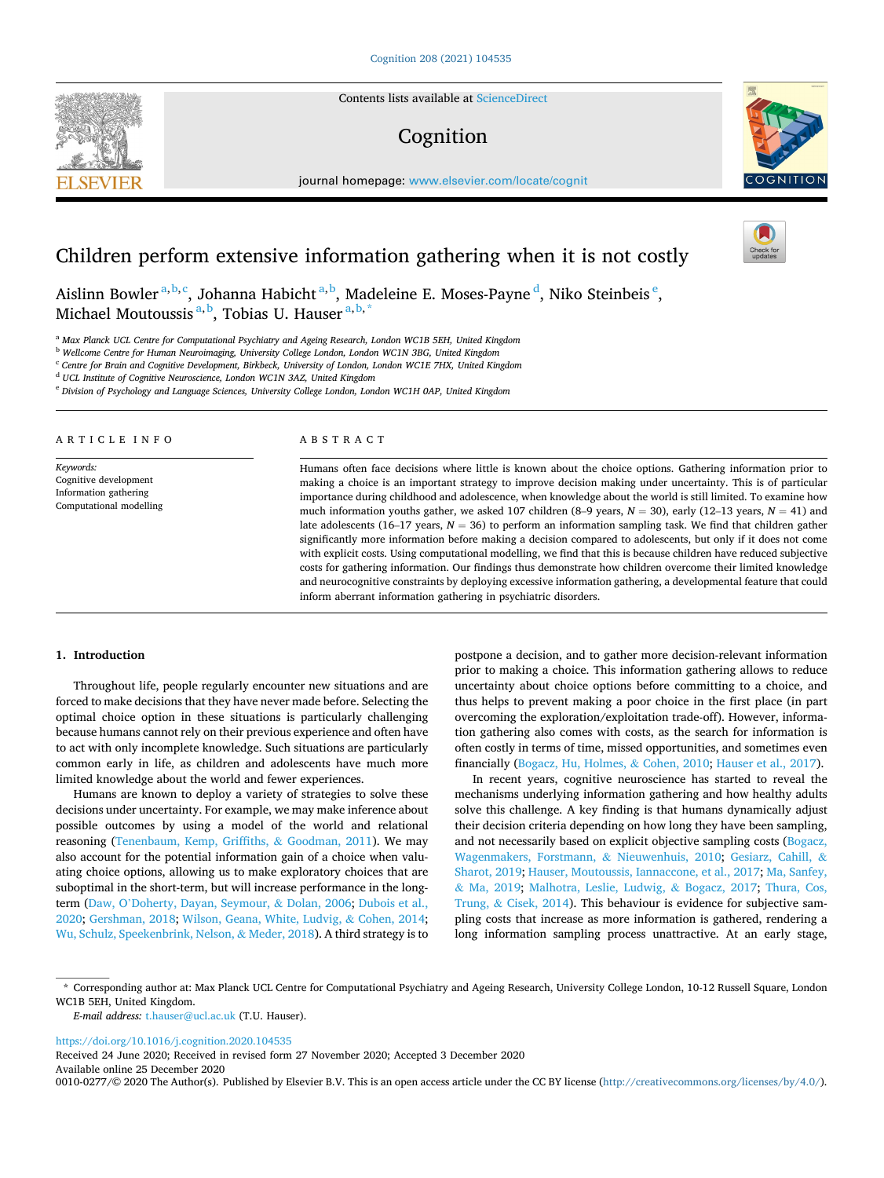Contents lists available at [ScienceDirect](www.sciencedirect.com/science/journal/00100277)

# Cognition

journal homepage: [www.elsevier.com/locate/cognit](https://www.elsevier.com/locate/cognit)

## Children perform extensive information gathering when it is not costly

Aislinn Bowler<sup>a,b,c</sup>, Johanna Habicht<sup>a,b</sup>, Madeleine E. Moses-Payne <sup>d</sup>, Niko Steinbeis <sup>e</sup>, Michael Moutoussis <sup>a, b</sup>, Tobias U. Hauser <sup>a, b, \*</sup>

<sup>a</sup> *Max Planck UCL Centre for Computational Psychiatry and Ageing Research, London WC1B 5EH, United Kingdom* 

<sup>b</sup> *Wellcome Centre for Human Neuroimaging, University College London, London WC1N 3BG, United Kingdom* 

<sup>c</sup> *Centre for Brain and Cognitive Development, Birkbeck, University of London, London WC1E 7HX, United Kingdom* 

<sup>d</sup> *UCL Institute of Cognitive Neuroscience, London WC1N 3AZ, United Kingdom* 

<sup>e</sup> *Division of Psychology and Language Sciences, University College London, London WC1H 0AP, United Kingdom* 

ARTICLE INFO

*Keywords:*  Cognitive development Information gathering Computational modelling

## ABSTRACT

Humans often face decisions where little is known about the choice options. Gathering information prior to making a choice is an important strategy to improve decision making under uncertainty. This is of particular importance during childhood and adolescence, when knowledge about the world is still limited. To examine how much information youths gather, we asked 107 children (8–9 years, *N* = 30), early (12–13 years, *N* = 41) and late adolescents (16–17 years,  $N = 36$ ) to perform an information sampling task. We find that children gather significantly more information before making a decision compared to adolescents, but only if it does not come with explicit costs. Using computational modelling, we find that this is because children have reduced subjective costs for gathering information. Our findings thus demonstrate how children overcome their limited knowledge and neurocognitive constraints by deploying excessive information gathering, a developmental feature that could inform aberrant information gathering in psychiatric disorders.

#### **1. Introduction**

Throughout life, people regularly encounter new situations and are forced to make decisions that they have never made before. Selecting the optimal choice option in these situations is particularly challenging because humans cannot rely on their previous experience and often have to act with only incomplete knowledge. Such situations are particularly common early in life, as children and adolescents have much more limited knowledge about the world and fewer experiences.

Humans are known to deploy a variety of strategies to solve these decisions under uncertainty. For example, we may make inference about possible outcomes by using a model of the world and relational reasoning ([Tenenbaum, Kemp, Griffiths,](#page-6-0) & Goodman, 2011). We may also account for the potential information gain of a choice when valuating choice options, allowing us to make exploratory choices that are suboptimal in the short-term, but will increase performance in the longterm (Daw, O'[Doherty, Dayan, Seymour,](#page-5-0) & Dolan, 2006; [Dubois et al.,](#page-5-0)  [2020; Gershman, 2018](#page-5-0); [Wilson, Geana, White, Ludvig,](#page-6-0) & Cohen, 2014; [Wu, Schulz, Speekenbrink, Nelson,](#page-6-0) & Meder, 2018). A third strategy is to

postpone a decision, and to gather more decision-relevant information prior to making a choice. This information gathering allows to reduce uncertainty about choice options before committing to a choice, and thus helps to prevent making a poor choice in the first place (in part overcoming the exploration/exploitation trade-off). However, information gathering also comes with costs, as the search for information is often costly in terms of time, missed opportunities, and sometimes even financially [\(Bogacz, Hu, Holmes,](#page-5-0) & Cohen, 2010; [Hauser et al., 2017](#page-6-0)).

In recent years, cognitive neuroscience has started to reveal the mechanisms underlying information gathering and how healthy adults solve this challenge. A key finding is that humans dynamically adjust their decision criteria depending on how long they have been sampling, and not necessarily based on explicit objective sampling costs ([Bogacz,](#page-5-0)  [Wagenmakers, Forstmann,](#page-5-0) & Nieuwenhuis, 2010; [Gesiarz, Cahill,](#page-5-0) & [Sharot, 2019;](#page-5-0) [Hauser, Moutoussis, Iannaccone, et al., 2017](#page-6-0); [Ma, Sanfey,](#page-6-0)  & [Ma, 2019](#page-6-0); [Malhotra, Leslie, Ludwig,](#page-6-0) & Bogacz, 2017; [Thura, Cos,](#page-6-0)  Trung, & [Cisek, 2014\)](#page-6-0). This behaviour is evidence for subjective sampling costs that increase as more information is gathered, rendering a long information sampling process unattractive. At an early stage,

\* Corresponding author at: Max Planck UCL Centre for Computational Psychiatry and Ageing Research, University College London, 10-12 Russell Square, London WC1B 5EH, United Kingdom.

*E-mail address:* [t.hauser@ucl.ac.uk](mailto:t.hauser@ucl.ac.uk) (T.U. Hauser).

<https://doi.org/10.1016/j.cognition.2020.104535>

Received 24 June 2020; Received in revised form 27 November 2020; Accepted 3 December 2020

Available online 25 December 2020

0010-0277/© 2020 The Author(s). Published by Elsevier B.V. This is an open access article under the CC BY license [\(http://creativecommons.org/licenses/by/4.0/\)](http://creativecommons.org/licenses/by/4.0/).



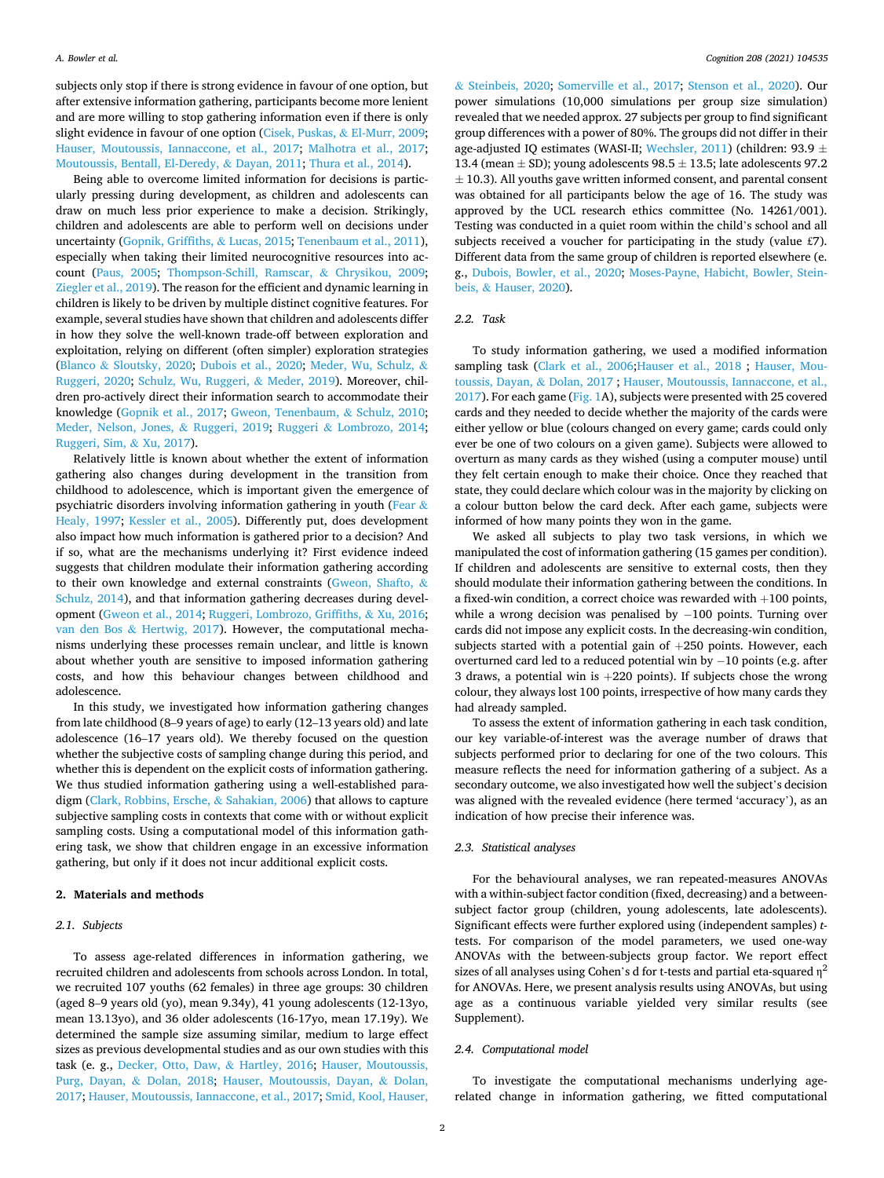subjects only stop if there is strong evidence in favour of one option, but after extensive information gathering, participants become more lenient and are more willing to stop gathering information even if there is only slight evidence in favour of one option ([Cisek, Puskas,](#page-5-0) & El-Murr, 2009; [Hauser, Moutoussis, Iannaccone, et al., 2017;](#page-6-0) [Malhotra et al., 2017](#page-6-0); [Moutoussis, Bentall, El-Deredy,](#page-6-0) & Dayan, 2011; [Thura et al., 2014](#page-6-0)).

Being able to overcome limited information for decisions is particularly pressing during development, as children and adolescents can draw on much less prior experience to make a decision. Strikingly, children and adolescents are able to perform well on decisions under uncertainty [\(Gopnik, Griffiths,](#page-5-0) & Lucas, 2015; [Tenenbaum et al., 2011](#page-6-0)), especially when taking their limited neurocognitive resources into account ([Paus, 2005;](#page-6-0) [Thompson-Schill, Ramscar,](#page-6-0) & Chrysikou, 2009; [Ziegler et al., 2019\)](#page-6-0). The reason for the efficient and dynamic learning in children is likely to be driven by multiple distinct cognitive features. For example, several studies have shown that children and adolescents differ in how they solve the well-known trade-off between exploration and exploitation, relying on different (often simpler) exploration strategies (Blanco & [Sloutsky, 2020;](#page-5-0) [Dubois et al., 2020;](#page-5-0) [Meder, Wu, Schulz,](#page-6-0) & [Ruggeri, 2020](#page-6-0); [Schulz, Wu, Ruggeri,](#page-6-0) & Meder, 2019). Moreover, children pro-actively direct their information search to accommodate their knowledge ([Gopnik et al., 2017;](#page-6-0) [Gweon, Tenenbaum,](#page-6-0) & Schulz, 2010; [Meder, Nelson, Jones,](#page-6-0) & Ruggeri, 2019; Ruggeri & [Lombrozo, 2014](#page-6-0); [Ruggeri, Sim,](#page-6-0) & Xu, 2017).

Relatively little is known about whether the extent of information gathering also changes during development in the transition from childhood to adolescence, which is important given the emergence of psychiatric disorders involving information gathering in youth ([Fear](#page-5-0) & [Healy, 1997;](#page-5-0) [Kessler et al., 2005](#page-6-0)). Differently put, does development also impact how much information is gathered prior to a decision? And if so, what are the mechanisms underlying it? First evidence indeed suggests that children modulate their information gathering according to their own knowledge and external constraints ([Gweon, Shafto,](#page-6-0) & [Schulz, 2014\)](#page-6-0), and that information gathering decreases during development ([Gweon et al., 2014](#page-6-0); [Ruggeri, Lombrozo, Griffiths,](#page-6-0) & Xu, 2016; van den Bos & [Hertwig, 2017\)](#page-5-0). However, the computational mechanisms underlying these processes remain unclear, and little is known about whether youth are sensitive to imposed information gathering costs, and how this behaviour changes between childhood and adolescence.

In this study, we investigated how information gathering changes from late childhood (8–9 years of age) to early (12–13 years old) and late adolescence (16–17 years old). We thereby focused on the question whether the subjective costs of sampling change during this period, and whether this is dependent on the explicit costs of information gathering. We thus studied information gathering using a well-established paradigm ([Clark, Robbins, Ersche,](#page-5-0) & Sahakian, 2006) that allows to capture subjective sampling costs in contexts that come with or without explicit sampling costs. Using a computational model of this information gathering task, we show that children engage in an excessive information gathering, but only if it does not incur additional explicit costs.

#### **2. Materials and methods**

## *2.1. Subjects*

To assess age-related differences in information gathering, we recruited children and adolescents from schools across London. In total, we recruited 107 youths (62 females) in three age groups: 30 children (aged 8–9 years old (yo), mean 9.34y), 41 young adolescents (12-13yo, mean 13.13yo), and 36 older adolescents (16-17yo, mean 17.19y). We determined the sample size assuming similar, medium to large effect sizes as previous developmental studies and as our own studies with this task (e. g., [Decker, Otto, Daw,](#page-5-0) & Hartley, 2016; [Hauser, Moutoussis,](#page-6-0)  [Purg, Dayan,](#page-6-0) & Dolan, 2018; [Hauser, Moutoussis, Dayan,](#page-6-0) & Dolan, [2017; Hauser, Moutoussis, Iannaccone, et al., 2017](#page-6-0); [Smid, Kool, Hauser,](#page-6-0) 

& [Steinbeis, 2020;](#page-6-0) [Somerville et al., 2017](#page-6-0); [Stenson et al., 2020\)](#page-6-0). Our power simulations (10,000 simulations per group size simulation) revealed that we needed approx. 27 subjects per group to find significant group differences with a power of 80%. The groups did not differ in their age-adjusted IQ estimates (WASI-II; [Wechsler, 2011\)](#page-6-0) (children: 93.9  $\pm$ 13.4 (mean  $\pm$  SD); young adolescents 98.5  $\pm$  13.5; late adolescents 97.2  $\pm$  10.3). All youths gave written informed consent, and parental consent was obtained for all participants below the age of 16. The study was approved by the UCL research ethics committee (No. 14261/001). Testing was conducted in a quiet room within the child's school and all subjects received a voucher for participating in the study (value £7). Different data from the same group of children is reported elsewhere (e. g., [Dubois, Bowler, et al., 2020;](#page-5-0) [Moses-Payne, Habicht, Bowler, Stein](#page-6-0)beis, & [Hauser, 2020](#page-6-0)).

#### *2.2. Task*

To study information gathering, we used a modified information sampling task ([Clark et al., 2006](#page-5-0); Hauser et al., 2018 ; [Hauser, Mou](#page-6-0)[toussis, Dayan,](#page-6-0) & Dolan, 2017 ; [Hauser, Moutoussis, Iannaccone, et al.,](#page-6-0)  [2017\)](#page-6-0). For each game [\(Fig. 1](#page-2-0)A), subjects were presented with 25 covered cards and they needed to decide whether the majority of the cards were either yellow or blue (colours changed on every game; cards could only ever be one of two colours on a given game). Subjects were allowed to overturn as many cards as they wished (using a computer mouse) until they felt certain enough to make their choice. Once they reached that state, they could declare which colour was in the majority by clicking on a colour button below the card deck. After each game, subjects were informed of how many points they won in the game.

We asked all subjects to play two task versions, in which we manipulated the cost of information gathering (15 games per condition). If children and adolescents are sensitive to external costs, then they should modulate their information gathering between the conditions. In a fixed-win condition, a correct choice was rewarded with +100 points, while a wrong decision was penalised by −100 points. Turning over cards did not impose any explicit costs. In the decreasing-win condition, subjects started with a potential gain of +250 points. However, each overturned card led to a reduced potential win by − 10 points (e.g. after 3 draws, a potential win is +220 points). If subjects chose the wrong colour, they always lost 100 points, irrespective of how many cards they had already sampled.

To assess the extent of information gathering in each task condition, our key variable-of-interest was the average number of draws that subjects performed prior to declaring for one of the two colours. This measure reflects the need for information gathering of a subject. As a secondary outcome, we also investigated how well the subject's decision was aligned with the revealed evidence (here termed 'accuracy'), as an indication of how precise their inference was.

#### *2.3. Statistical analyses*

For the behavioural analyses, we ran repeated-measures ANOVAs with a within-subject factor condition (fixed, decreasing) and a betweensubject factor group (children, young adolescents, late adolescents). Significant effects were further explored using (independent samples) *t*tests. For comparison of the model parameters, we used one-way ANOVAs with the between-subjects group factor. We report effect sizes of all analyses using Cohen's d for t-tests and partial eta-squared  $\eta^2$ for ANOVAs. Here, we present analysis results using ANOVAs, but using age as a continuous variable yielded very similar results (see Supplement).

## *2.4. Computational model*

To investigate the computational mechanisms underlying agerelated change in information gathering, we fitted computational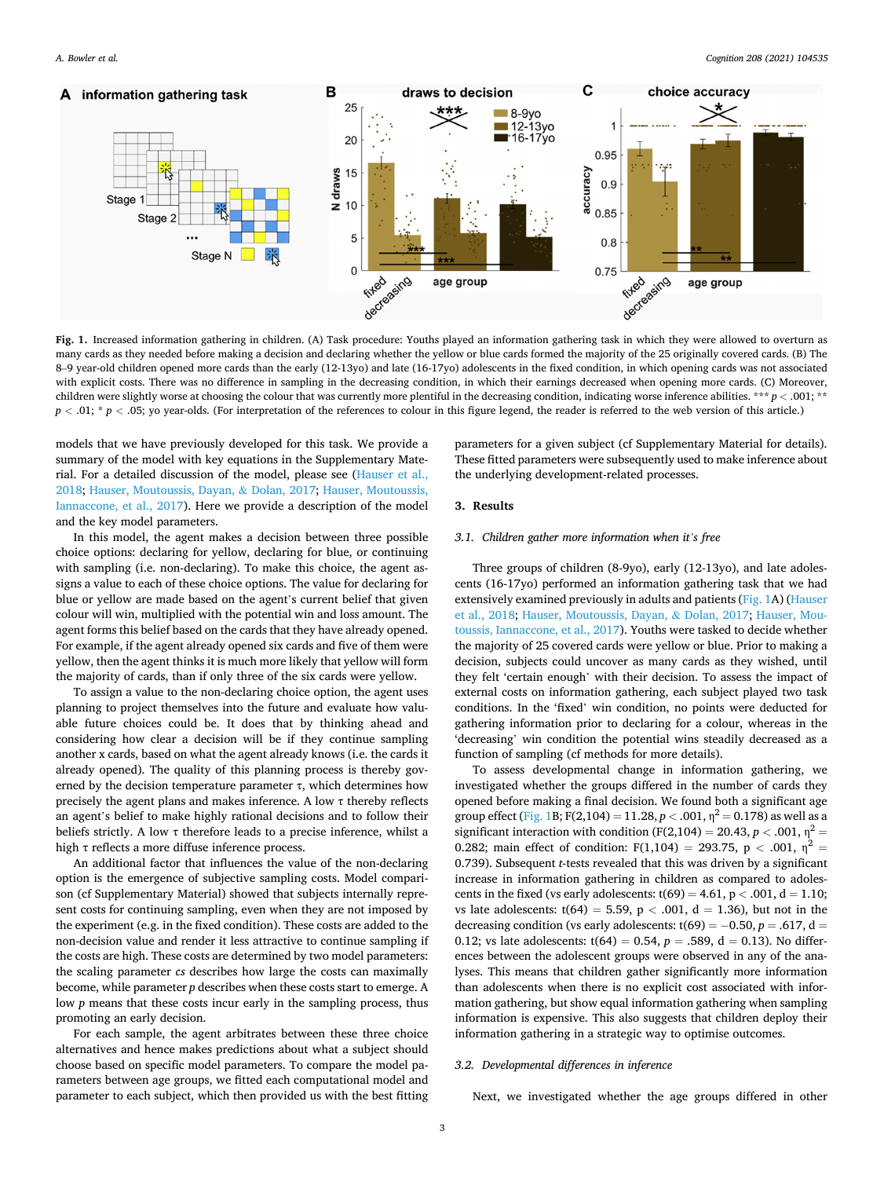<span id="page-2-0"></span>

**Fig. 1.** Increased information gathering in children. (A) Task procedure: Youths played an information gathering task in which they were allowed to overturn as many cards as they needed before making a decision and declaring whether the yellow or blue cards formed the majority of the 25 originally covered cards. (B) The 8–9 year-old children opened more cards than the early (12-13yo) and late (16-17yo) adolescents in the fixed condition, in which opening cards was not associated with explicit costs. There was no difference in sampling in the decreasing condition, in which their earnings decreased when opening more cards. (C) Moreover, children were slightly worse at choosing the colour that was currently more plentiful in the decreasing condition, indicating worse inference abilities. \*\*\* *p <* .001; \*\* *p <* .01; \* *p <* .05; yo year-olds. (For interpretation of the references to colour in this figure legend, the reader is referred to the web version of this article.)

models that we have previously developed for this task. We provide a summary of the model with key equations in the Supplementary Material. For a detailed discussion of the model, please see [\(Hauser et al.,](#page-6-0)  [2018; Hauser, Moutoussis, Dayan,](#page-6-0) & Dolan, 2017; [Hauser, Moutoussis,](#page-6-0)  [Iannaccone, et al., 2017\)](#page-6-0). Here we provide a description of the model and the key model parameters.

In this model, the agent makes a decision between three possible choice options: declaring for yellow, declaring for blue, or continuing with sampling (i.e. non-declaring). To make this choice, the agent assigns a value to each of these choice options. The value for declaring for blue or yellow are made based on the agent's current belief that given colour will win, multiplied with the potential win and loss amount. The agent forms this belief based on the cards that they have already opened. For example, if the agent already opened six cards and five of them were yellow, then the agent thinks it is much more likely that yellow will form the majority of cards, than if only three of the six cards were yellow.

To assign a value to the non-declaring choice option, the agent uses planning to project themselves into the future and evaluate how valuable future choices could be. It does that by thinking ahead and considering how clear a decision will be if they continue sampling another x cards, based on what the agent already knows (i.e. the cards it already opened). The quality of this planning process is thereby governed by the decision temperature parameter  $\tau$ , which determines how precisely the agent plans and makes inference. A low  $\tau$  thereby reflects an agent's belief to make highly rational decisions and to follow their beliefs strictly. A low  $\tau$  therefore leads to a precise inference, whilst a high τ reflects a more diffuse inference process.

An additional factor that influences the value of the non-declaring option is the emergence of subjective sampling costs. Model comparison (cf Supplementary Material) showed that subjects internally represent costs for continuing sampling, even when they are not imposed by the experiment (e.g. in the fixed condition). These costs are added to the non-decision value and render it less attractive to continue sampling if the costs are high. These costs are determined by two model parameters: the scaling parameter *cs* describes how large the costs can maximally become, while parameter *p* describes when these costs start to emerge. A low *p* means that these costs incur early in the sampling process, thus promoting an early decision.

For each sample, the agent arbitrates between these three choice alternatives and hence makes predictions about what a subject should choose based on specific model parameters. To compare the model parameters between age groups, we fitted each computational model and parameter to each subject, which then provided us with the best fitting parameters for a given subject (cf Supplementary Material for details). These fitted parameters were subsequently used to make inference about the underlying development-related processes.

## **3. Results**

## *3.1. Children gather more information when it's free*

Three groups of children (8-9yo), early (12-13yo), and late adolescents (16-17yo) performed an information gathering task that we had extensively examined previously in adults and patients (Fig. 1A) ([Hauser](#page-6-0)  [et al., 2018](#page-6-0); [Hauser, Moutoussis, Dayan,](#page-6-0) & Dolan, 2017; [Hauser, Mou](#page-6-0)[toussis, Iannaccone, et al., 2017\)](#page-6-0). Youths were tasked to decide whether the majority of 25 covered cards were yellow or blue. Prior to making a decision, subjects could uncover as many cards as they wished, until they felt 'certain enough' with their decision. To assess the impact of external costs on information gathering, each subject played two task conditions. In the 'fixed' win condition, no points were deducted for gathering information prior to declaring for a colour, whereas in the 'decreasing' win condition the potential wins steadily decreased as a function of sampling (cf methods for more details).

To assess developmental change in information gathering, we investigated whether the groups differed in the number of cards they opened before making a final decision. We found both a significant age group effect (Fig. 1B; F(2,104) = 11.28,  $p < .001$ ,  $\eta^2 = 0.178$ ) as well as a significant interaction with condition (F(2,104) = 20.43,  $p < .001$ ,  $\eta^2$  = 0.282; main effect of condition: F(1,104) = 293.75, p < .001,  $\eta^2$  = 0.739). Subsequent *t*-tests revealed that this was driven by a significant increase in information gathering in children as compared to adolescents in the fixed (vs early adolescents: t(69) = 4.61, p *<* .001, d = 1.10; vs late adolescents:  $t(64) = 5.59$ ,  $p < .001$ ,  $d = 1.36$ ), but not in the decreasing condition (vs early adolescents:  $t(69) = -0.50$ ,  $p = .617$ , d = 0.12; vs late adolescents:  $t(64) = 0.54$ ,  $p = .589$ ,  $d = 0.13$ ). No differences between the adolescent groups were observed in any of the analyses. This means that children gather significantly more information than adolescents when there is no explicit cost associated with information gathering, but show equal information gathering when sampling information is expensive. This also suggests that children deploy their information gathering in a strategic way to optimise outcomes.

## *3.2. Developmental differences in inference*

Next, we investigated whether the age groups differed in other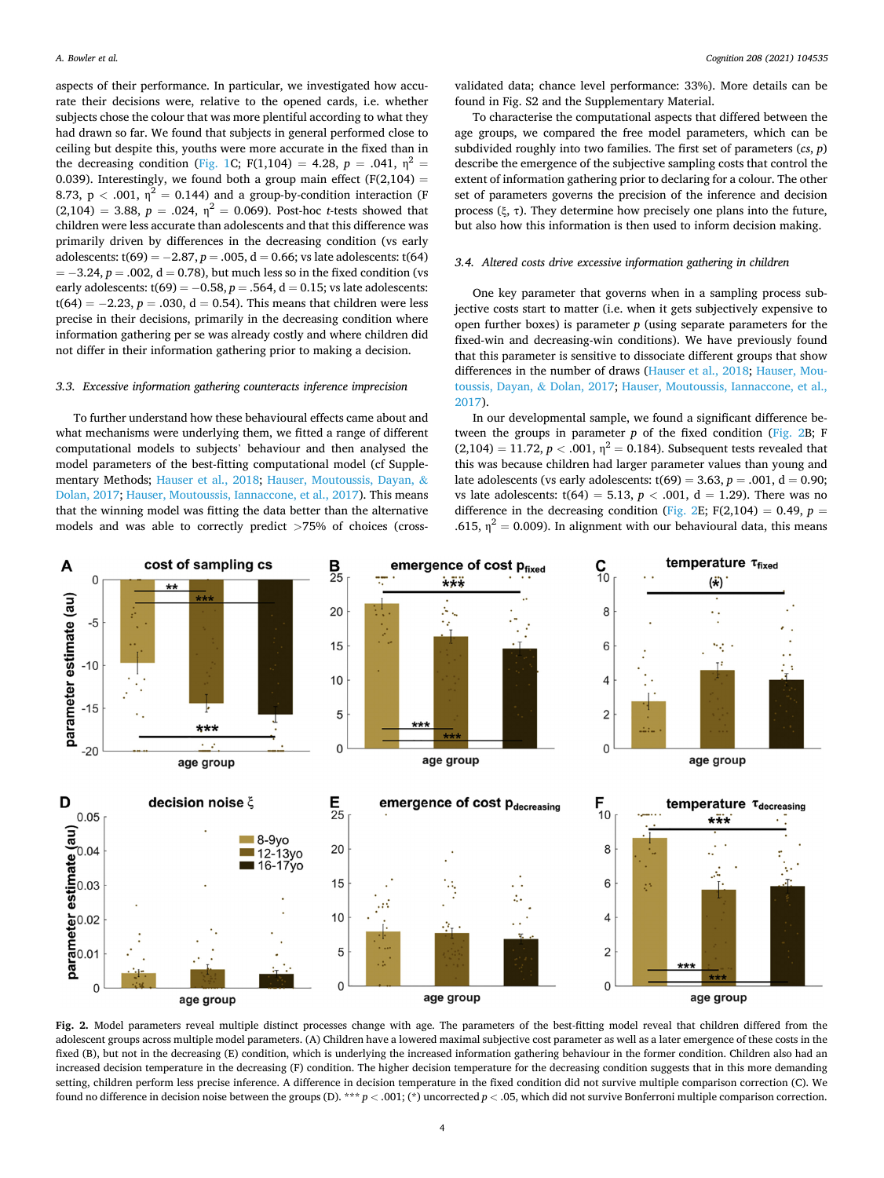<span id="page-3-0"></span>aspects of their performance. In particular, we investigated how accurate their decisions were, relative to the opened cards, i.e. whether subjects chose the colour that was more plentiful according to what they had drawn so far. We found that subjects in general performed close to ceiling but despite this, youths were more accurate in the fixed than in the decreasing condition [\(Fig. 1](#page-2-0)C; F(1,104) = 4.28,  $p = .041$ ,  $\eta^2 =$ 0.039). Interestingly, we found both a group main effect  $(F(2,104) =$ 8.73,  $p < .001$ ,  $\eta^2 = 0.144$ ) and a group-by-condition interaction (F  $(2,104) = 3.88, p = .024, \eta^2 = 0.069$ . Post-hoc *t*-tests showed that children were less accurate than adolescents and that this difference was primarily driven by differences in the decreasing condition (vs early adolescents: t(69) = − 2.87, *p* = .005, d = 0.66; vs late adolescents: t(64) = − 3.24, *p* = .002, d = 0.78), but much less so in the fixed condition (vs early adolescents:  $t(69) = -0.58$ ,  $p = .564$ ,  $d = 0.15$ ; vs late adolescents: t(64) =  $-2.23$ ,  $p = .030$ , d = 0.54). This means that children were less precise in their decisions, primarily in the decreasing condition where information gathering per se was already costly and where children did not differ in their information gathering prior to making a decision.

#### *3.3. Excessive information gathering counteracts inference imprecision*

To further understand how these behavioural effects came about and what mechanisms were underlying them, we fitted a range of different computational models to subjects' behaviour and then analysed the model parameters of the best-fitting computational model (cf Supplementary Methods; [Hauser et al., 2018;](#page-6-0) [Hauser, Moutoussis, Dayan,](#page-6-0) & [Dolan, 2017; Hauser, Moutoussis, Iannaccone, et al., 2017\)](#page-6-0). This means that the winning model was fitting the data better than the alternative models and was able to correctly predict *>*75% of choices (cross-

validated data; chance level performance: 33%). More details can be found in Fig. S2 and the Supplementary Material.

To characterise the computational aspects that differed between the age groups, we compared the free model parameters, which can be subdivided roughly into two families. The first set of parameters (*cs*, *p*) describe the emergence of the subjective sampling costs that control the extent of information gathering prior to declaring for a colour. The other set of parameters governs the precision of the inference and decision process (ξ, τ). They determine how precisely one plans into the future, but also how this information is then used to inform decision making.

## *3.4. Altered costs drive excessive information gathering in children*

One key parameter that governs when in a sampling process subjective costs start to matter (i.e. when it gets subjectively expensive to open further boxes) is parameter *p* (using separate parameters for the fixed-win and decreasing-win conditions). We have previously found that this parameter is sensitive to dissociate different groups that show differences in the number of draws ([Hauser et al., 2018;](#page-6-0) [Hauser, Mou](#page-6-0)[toussis, Dayan,](#page-6-0) & Dolan, 2017; [Hauser, Moutoussis, Iannaccone, et al.,](#page-6-0)  [2017\)](#page-6-0).

In our developmental sample, we found a significant difference between the groups in parameter  $p$  of the fixed condition (Fig. 2B; F  $(2,104) = 11.72, p < .001, \eta^2 = 0.184$ . Subsequent tests revealed that this was because children had larger parameter values than young and late adolescents (vs early adolescents:  $t(69) = 3.63$ ,  $p = .001$ ,  $d = 0.90$ ; vs late adolescents:  $t(64) = 5.13$ ,  $p < .001$ ,  $d = 1.29$ ). There was no difference in the decreasing condition (Fig. 2E; F(2,104) = 0.49,  $p =$ .615,  $\eta^2 = 0.009$ ). In alignment with our behavioural data, this means



**Fig. 2.** Model parameters reveal multiple distinct processes change with age. The parameters of the best-fitting model reveal that children differed from the adolescent groups across multiple model parameters. (A) Children have a lowered maximal subjective cost parameter as well as a later emergence of these costs in the fixed (B), but not in the decreasing (E) condition, which is underlying the increased information gathering behaviour in the former condition. Children also had an increased decision temperature in the decreasing (F) condition. The higher decision temperature for the decreasing condition suggests that in this more demanding setting, children perform less precise inference. A difference in decision temperature in the fixed condition did not survive multiple comparison correction (C). We found no difference in decision noise between the groups (D). \*\*\* *p <* .001; (\*) uncorrected *p <* .05, which did not survive Bonferroni multiple comparison correction.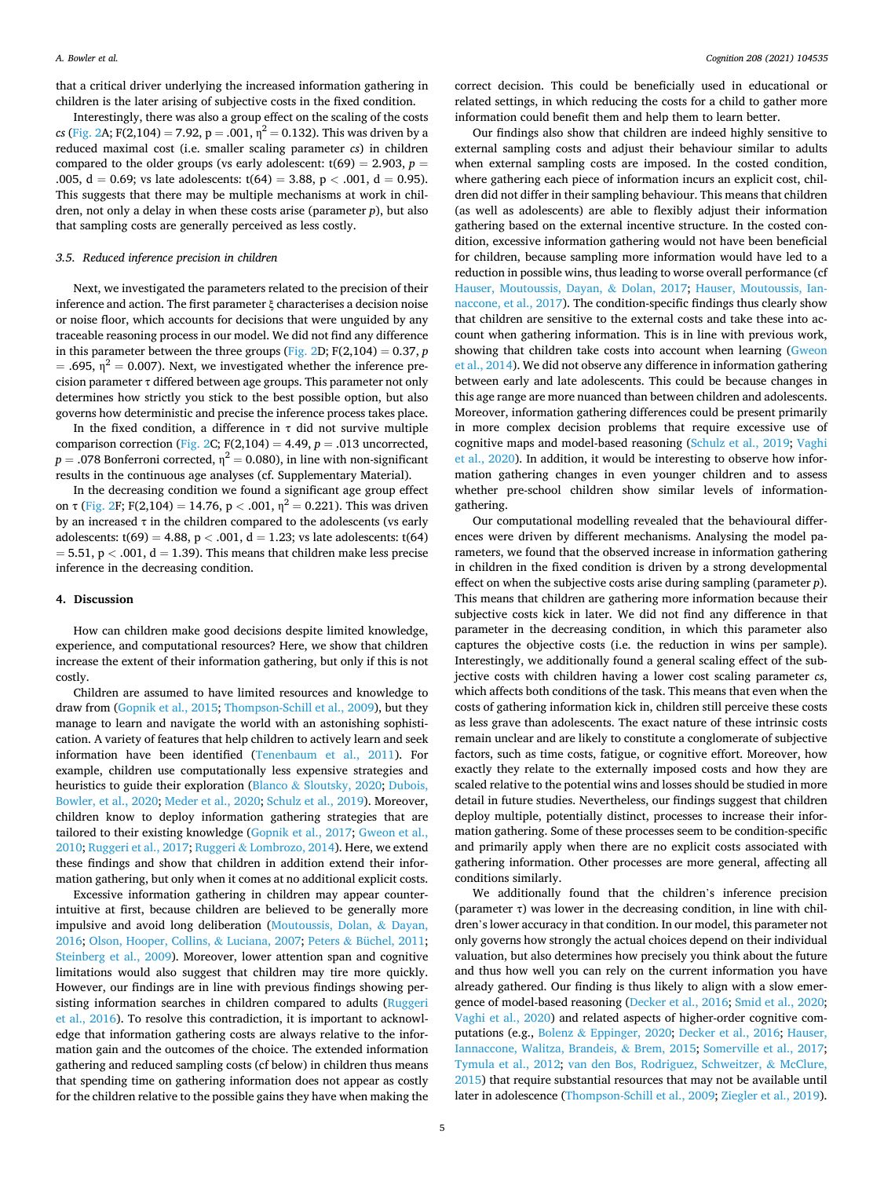that a critical driver underlying the increased information gathering in children is the later arising of subjective costs in the fixed condition.

Interestingly, there was also a group effect on the scaling of the costs *cs* ([Fig. 2](#page-3-0)A; F(2,104) = 7.92,  $p = .001$ ,  $n^2 = 0.132$ ). This was driven by a reduced maximal cost (i.e. smaller scaling parameter *cs*) in children compared to the older groups (vs early adolescent:  $t(69) = 2.903$ ,  $p =$ .005,  $d = 0.69$ ; vs late adolescents:  $t(64) = 3.88$ ,  $p < .001$ ,  $d = 0.95$ ). This suggests that there may be multiple mechanisms at work in children, not only a delay in when these costs arise (parameter *p*), but also that sampling costs are generally perceived as less costly.

#### *3.5. Reduced inference precision in children*

Next, we investigated the parameters related to the precision of their inference and action. The first parameter ξ characterises a decision noise or noise floor, which accounts for decisions that were unguided by any traceable reasoning process in our model. We did not find any difference in this parameter between the three groups [\(Fig. 2D](#page-3-0);  $F(2,104) = 0.37$ ,  $p$ = .695,  $\eta^2$  = 0.007). Next, we investigated whether the inference precision parameter  $\tau$  differed between age groups. This parameter not only determines how strictly you stick to the best possible option, but also governs how deterministic and precise the inference process takes place.

In the fixed condition, a difference in  $\tau$  did not survive multiple comparison correction ([Fig. 2C](#page-3-0); F(2,104) = 4.49, *p* = .013 uncorrected,  $p = .078$  Bonferroni corrected,  $\eta^2 = 0.080$ ), in line with non-significant results in the continuous age analyses (cf. Supplementary Material).

In the decreasing condition we found a significant age group effect on  $\tau$  ([Fig. 2F](#page-3-0); F(2,104) = 14.76, p < .001,  $\eta^2$  = 0.221). This was driven by an increased  $\tau$  in the children compared to the adolescents (vs early adolescents:  $t(69) = 4.88$ ,  $p < .001$ ,  $d = 1.23$ ; vs late adolescents:  $t(64)$  $= 5.51, p < .001, d = 1.39$ ). This means that children make less precise inference in the decreasing condition.

#### **4. Discussion**

How can children make good decisions despite limited knowledge, experience, and computational resources? Here, we show that children increase the extent of their information gathering, but only if this is not costly.

Children are assumed to have limited resources and knowledge to draw from ([Gopnik et al., 2015;](#page-5-0) [Thompson-Schill et al., 2009](#page-6-0)), but they manage to learn and navigate the world with an astonishing sophistication. A variety of features that help children to actively learn and seek information have been identified [\(Tenenbaum et al., 2011](#page-6-0)). For example, children use computationally less expensive strategies and heuristics to guide their exploration (Blanco & [Sloutsky, 2020](#page-5-0); [Dubois,](#page-5-0)  [Bowler, et al., 2020;](#page-5-0) [Meder et al., 2020; Schulz et al., 2019](#page-6-0)). Moreover, children know to deploy information gathering strategies that are tailored to their existing knowledge [\(Gopnik et al., 2017](#page-6-0); [Gweon et al.,](#page-6-0)  [2010; Ruggeri et al., 2017;](#page-6-0) Ruggeri & [Lombrozo, 2014\)](#page-6-0). Here, we extend these findings and show that children in addition extend their information gathering, but only when it comes at no additional explicit costs.

Excessive information gathering in children may appear counterintuitive at first, because children are believed to be generally more impulsive and avoid long deliberation ([Moutoussis, Dolan,](#page-6-0) & Dayan, [2016; Olson, Hooper, Collins,](#page-6-0) & Luciana, 2007; Peters & [Büchel, 2011](#page-6-0); [Steinberg et al., 2009\)](#page-6-0). Moreover, lower attention span and cognitive limitations would also suggest that children may tire more quickly. However, our findings are in line with previous findings showing persisting information searches in children compared to adults (Ruggeri [et al., 2016](#page-6-0)). To resolve this contradiction, it is important to acknowledge that information gathering costs are always relative to the information gain and the outcomes of the choice. The extended information gathering and reduced sampling costs (cf below) in children thus means that spending time on gathering information does not appear as costly for the children relative to the possible gains they have when making the

correct decision. This could be beneficially used in educational or related settings, in which reducing the costs for a child to gather more information could benefit them and help them to learn better.

Our findings also show that children are indeed highly sensitive to external sampling costs and adjust their behaviour similar to adults when external sampling costs are imposed. In the costed condition, where gathering each piece of information incurs an explicit cost, children did not differ in their sampling behaviour. This means that children (as well as adolescents) are able to flexibly adjust their information gathering based on the external incentive structure. In the costed condition, excessive information gathering would not have been beneficial for children, because sampling more information would have led to a reduction in possible wins, thus leading to worse overall performance (cf [Hauser, Moutoussis, Dayan,](#page-6-0) & Dolan, 2017; [Hauser, Moutoussis, Ian](#page-6-0)[naccone, et al., 2017](#page-6-0)). The condition-specific findings thus clearly show that children are sensitive to the external costs and take these into account when gathering information. This is in line with previous work, showing that children take costs into account when learning [\(Gweon](#page-6-0)  [et al., 2014](#page-6-0)). We did not observe any difference in information gathering between early and late adolescents. This could be because changes in this age range are more nuanced than between children and adolescents. Moreover, information gathering differences could be present primarily in more complex decision problems that require excessive use of cognitive maps and model-based reasoning ([Schulz et al., 2019](#page-6-0); [Vaghi](#page-6-0)  [et al., 2020\)](#page-6-0). In addition, it would be interesting to observe how information gathering changes in even younger children and to assess whether pre-school children show similar levels of informationgathering.

Our computational modelling revealed that the behavioural differences were driven by different mechanisms. Analysing the model parameters, we found that the observed increase in information gathering in children in the fixed condition is driven by a strong developmental effect on when the subjective costs arise during sampling (parameter *p*). This means that children are gathering more information because their subjective costs kick in later. We did not find any difference in that parameter in the decreasing condition, in which this parameter also captures the objective costs (i.e. the reduction in wins per sample). Interestingly, we additionally found a general scaling effect of the subjective costs with children having a lower cost scaling parameter *cs*, which affects both conditions of the task. This means that even when the costs of gathering information kick in, children still perceive these costs as less grave than adolescents. The exact nature of these intrinsic costs remain unclear and are likely to constitute a conglomerate of subjective factors, such as time costs, fatigue, or cognitive effort. Moreover, how exactly they relate to the externally imposed costs and how they are scaled relative to the potential wins and losses should be studied in more detail in future studies. Nevertheless, our findings suggest that children deploy multiple, potentially distinct, processes to increase their information gathering. Some of these processes seem to be condition-specific and primarily apply when there are no explicit costs associated with gathering information. Other processes are more general, affecting all conditions similarly.

We additionally found that the children's inference precision (parameter  $\tau$ ) was lower in the decreasing condition, in line with children's lower accuracy in that condition. In our model, this parameter not only governs how strongly the actual choices depend on their individual valuation, but also determines how precisely you think about the future and thus how well you can rely on the current information you have already gathered. Our finding is thus likely to align with a slow emergence of model-based reasoning [\(Decker et al., 2016;](#page-5-0) [Smid et al., 2020](#page-6-0); [Vaghi et al., 2020](#page-6-0)) and related aspects of higher-order cognitive computations (e.g., Bolenz & [Eppinger, 2020;](#page-5-0) [Decker et al., 2016;](#page-5-0) [Hauser,](#page-6-0)  [Iannaccone, Walitza, Brandeis,](#page-6-0) & Brem, 2015; [Somerville et al., 2017](#page-6-0); [Tymula et al., 2012;](#page-6-0) [van den Bos, Rodriguez, Schweitzer,](#page-5-0) & McClure, [2015\)](#page-5-0) that require substantial resources that may not be available until later in adolescence [\(Thompson-Schill et al., 2009; Ziegler et al., 2019](#page-6-0)).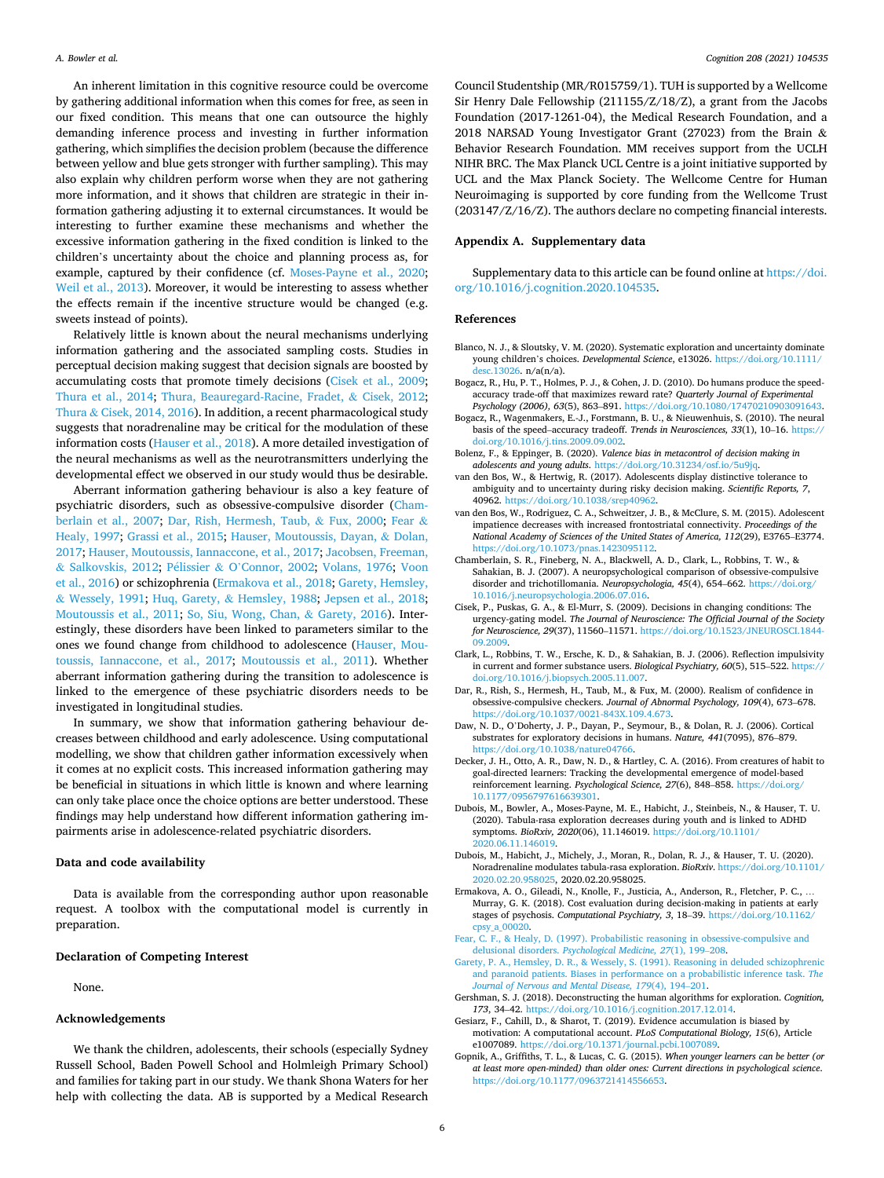<span id="page-5-0"></span>An inherent limitation in this cognitive resource could be overcome by gathering additional information when this comes for free, as seen in our fixed condition. This means that one can outsource the highly demanding inference process and investing in further information gathering, which simplifies the decision problem (because the difference between yellow and blue gets stronger with further sampling). This may also explain why children perform worse when they are not gathering more information, and it shows that children are strategic in their information gathering adjusting it to external circumstances. It would be interesting to further examine these mechanisms and whether the excessive information gathering in the fixed condition is linked to the children's uncertainty about the choice and planning process as, for example, captured by their confidence (cf. [Moses-Payne et al., 2020](#page-6-0); [Weil et al., 2013\)](#page-6-0). Moreover, it would be interesting to assess whether the effects remain if the incentive structure would be changed (e.g. sweets instead of points).

Relatively little is known about the neural mechanisms underlying information gathering and the associated sampling costs. Studies in perceptual decision making suggest that decision signals are boosted by accumulating costs that promote timely decisions (Cisek et al., 2009; [Thura et al., 2014](#page-6-0); [Thura, Beauregard-Racine, Fradet,](#page-6-0) & Cisek, 2012; Thura & [Cisek, 2014, 2016\)](#page-6-0). In addition, a recent pharmacological study suggests that noradrenaline may be critical for the modulation of these information costs [\(Hauser et al., 2018](#page-6-0)). A more detailed investigation of the neural mechanisms as well as the neurotransmitters underlying the developmental effect we observed in our study would thus be desirable.

Aberrant information gathering behaviour is also a key feature of psychiatric disorders, such as obsessive-compulsive disorder (Chamberlain et al., 2007; Dar, Rish, Hermesh, Taub, & Fux, 2000; Fear & Healy, 1997; [Grassi et al., 2015;](#page-6-0) [Hauser, Moutoussis, Dayan,](#page-6-0) & Dolan, [2017; Hauser, Moutoussis, Iannaccone, et al., 2017; Jacobsen, Freeman,](#page-6-0)  & [Salkovskis, 2012;](#page-6-0) Pélissier & O'[Connor, 2002](#page-6-0); [Volans, 1976;](#page-6-0) Voon [et al., 2016](#page-6-0)) or schizophrenia (Ermakova et al., 2018; Garety, Hemsley, & Wessely, 1991; Huq, Garety, & [Hemsley, 1988;](#page-6-0) [Jepsen et al., 2018](#page-6-0); [Moutoussis et al., 2011](#page-6-0); [So, Siu, Wong, Chan,](#page-6-0) & Garety, 2016). Interestingly, these disorders have been linked to parameters similar to the ones we found change from childhood to adolescence [\(Hauser, Mou](#page-6-0)[toussis, Iannaccone, et al., 2017;](#page-6-0) [Moutoussis et al., 2011](#page-6-0)). Whether aberrant information gathering during the transition to adolescence is linked to the emergence of these psychiatric disorders needs to be investigated in longitudinal studies.

In summary, we show that information gathering behaviour decreases between childhood and early adolescence. Using computational modelling, we show that children gather information excessively when it comes at no explicit costs. This increased information gathering may be beneficial in situations in which little is known and where learning can only take place once the choice options are better understood. These findings may help understand how different information gathering impairments arise in adolescence-related psychiatric disorders.

#### **Data and code availability**

Data is available from the corresponding author upon reasonable request. A toolbox with the computational model is currently in preparation.

#### **Declaration of Competing Interest**

None.

#### **Acknowledgements**

We thank the children, adolescents, their schools (especially Sydney Russell School, Baden Powell School and Holmleigh Primary School) and families for taking part in our study. We thank Shona Waters for her help with collecting the data. AB is supported by a Medical Research

Council Studentship (MR/R015759/1). TUH is supported by a Wellcome Sir Henry Dale Fellowship (211155/Z/18/Z), a grant from the Jacobs Foundation (2017-1261-04), the Medical Research Foundation, and a 2018 NARSAD Young Investigator Grant (27023) from the Brain & Behavior Research Foundation. MM receives support from the UCLH NIHR BRC. The Max Planck UCL Centre is a joint initiative supported by UCL and the Max Planck Society. The Wellcome Centre for Human Neuroimaging is supported by core funding from the Wellcome Trust (203147/Z/16/Z). The authors declare no competing financial interests.

## **Appendix A. Supplementary data**

Supplementary data to this article can be found online at [https://doi.](https://doi.org/10.1016/j.cognition.2020.104535)  [org/10.1016/j.cognition.2020.104535](https://doi.org/10.1016/j.cognition.2020.104535).

#### **References**

- Blanco, N. J., & Sloutsky, V. M. (2020). Systematic exploration and uncertainty dominate young children's choices. *Developmental Science*, e13026. [https://doi.org/10.1111/](https://doi.org/10.1111/desc.13026)  [desc.13026.](https://doi.org/10.1111/desc.13026) n/a(n/a).
- Bogacz, R., Hu, P. T., Holmes, P. J., & Cohen, J. D. (2010). Do humans produce the speedaccuracy trade-off that maximizes reward rate? *Quarterly Journal of Experimental Psychology (2006), 63*(5), 863–891. [https://doi.org/10.1080/17470210903091643.](https://doi.org/10.1080/17470210903091643)
- Bogacz, R., Wagenmakers, E.-J., Forstmann, B. U., & Nieuwenhuis, S. (2010). The neural basis of the speed–accuracy tradeoff. *Trends in Neurosciences, 33*(1), 10–16. [https://](https://doi.org/10.1016/j.tins.2009.09.002)  [doi.org/10.1016/j.tins.2009.09.002.](https://doi.org/10.1016/j.tins.2009.09.002)
- Bolenz, F., & Eppinger, B. (2020). *Valence bias in metacontrol of decision making in adolescents and young adults*. [https://doi.org/10.31234/osf.io/5u9jq.](https://doi.org/10.31234/osf.io/5u9jq)
- van den Bos, W., & Hertwig, R. (2017). Adolescents display distinctive tolerance to ambiguity and to uncertainty during risky decision making. *Scientific Reports, 7*, 40962. [https://doi.org/10.1038/srep40962.](https://doi.org/10.1038/srep40962)
- van den Bos, W., Rodriguez, C. A., Schweitzer, J. B., & McClure, S. M. (2015). Adolescent impatience decreases with increased frontostriatal connectivity. *Proceedings of the National Academy of Sciences of the United States of America, 112*(29), E3765–E3774. [https://doi.org/10.1073/pnas.1423095112.](https://doi.org/10.1073/pnas.1423095112)
- Chamberlain, S. R., Fineberg, N. A., Blackwell, A. D., Clark, L., Robbins, T. W., & Sahakian, B. J. (2007). A neuropsychological comparison of obsessive-compulsive disorder and trichotillomania. *Neuropsychologia, 45*(4), 654–662. [https://doi.org/](https://doi.org/10.1016/j.neuropsychologia.2006.07.016) [10.1016/j.neuropsychologia.2006.07.016](https://doi.org/10.1016/j.neuropsychologia.2006.07.016).
- Cisek, P., Puskas, G. A., & El-Murr, S. (2009). Decisions in changing conditions: The urgency-gating model. *The Journal of Neuroscience: The Official Journal of the Society for Neuroscience, 29*(37), 11560–11571. [https://doi.org/10.1523/JNEUROSCI.1844-](https://doi.org/10.1523/JNEUROSCI.1844-09.2009)  [09.2009.](https://doi.org/10.1523/JNEUROSCI.1844-09.2009)
- Clark, L., Robbins, T. W., Ersche, K. D., & Sahakian, B. J. (2006). Reflection impulsivity in current and former substance users. *Biological Psychiatry, 60*(5), 515–522. [https://](https://doi.org/10.1016/j.biopsych.2005.11.007)  [doi.org/10.1016/j.biopsych.2005.11.007.](https://doi.org/10.1016/j.biopsych.2005.11.007)
- Dar, R., Rish, S., Hermesh, H., Taub, M., & Fux, M. (2000). Realism of confidence in obsessive-compulsive checkers. *Journal of Abnormal Psychology, 109*(4), 673–678. <https://doi.org/10.1037/0021-843X.109.4.673>.
- Daw, N. D., O'Doherty, J. P., Dayan, P., Seymour, B., & Dolan, R. J. (2006). Cortical substrates for exploratory decisions in humans. *Nature, 441*(7095), 876–879. [https://doi.org/10.1038/nature04766.](https://doi.org/10.1038/nature04766)
- Decker, J. H., Otto, A. R., Daw, N. D., & Hartley, C. A. (2016). From creatures of habit to goal-directed learners: Tracking the developmental emergence of model-based reinforcement learning. *Psychological Science, 27*(6), 848–858. [https://doi.org/](https://doi.org/10.1177/0956797616639301) [10.1177/0956797616639301](https://doi.org/10.1177/0956797616639301).
- Dubois, M., Bowler, A., Moses-Payne, M. E., Habicht, J., Steinbeis, N., & Hauser, T. U. (2020). Tabula-rasa exploration decreases during youth and is linked to ADHD symptoms. *BioRxiv, 2020*(06), 11.146019. [https://doi.org/10.1101/](https://doi.org/10.1101/2020.06.11.146019) [2020.06.11.146019](https://doi.org/10.1101/2020.06.11.146019).
- Dubois, M., Habicht, J., Michely, J., Moran, R., Dolan, R. J., & Hauser, T. U. (2020). Noradrenaline modulates tabula-rasa exploration. *BioRxiv*. [https://doi.org/10.1101/](https://doi.org/10.1101/2020.02.20.958025)  [2020.02.20.958025](https://doi.org/10.1101/2020.02.20.958025), 2020.02.20.958025.
- Ermakova, A. O., Gileadi, N., Knolle, F., Justicia, A., Anderson, R., Fletcher, P. C., … Murray, G. K. (2018). Cost evaluation during decision-making in patients at early stages of psychosis. *Computational Psychiatry, 3*, 18–39. [https://doi.org/10.1162/](https://doi.org/10.1162/cpsy_a_00020) [cpsy\\_a\\_00020](https://doi.org/10.1162/cpsy_a_00020).
- [Fear, C. F., & Healy, D. \(1997\). Probabilistic reasoning in obsessive-compulsive and](http://refhub.elsevier.com/S0010-0277(20)30354-1/rf0080) delusional disorders. *[Psychological Medicine, 27](http://refhub.elsevier.com/S0010-0277(20)30354-1/rf0080)*(1), 199–208.
- [Garety, P. A., Hemsley, D. R., & Wessely, S. \(1991\). Reasoning in deluded schizophrenic](http://refhub.elsevier.com/S0010-0277(20)30354-1/rf0085)  [and paranoid patients. Biases in performance on a probabilistic inference task.](http://refhub.elsevier.com/S0010-0277(20)30354-1/rf0085) *The [Journal of Nervous and Mental Disease, 179](http://refhub.elsevier.com/S0010-0277(20)30354-1/rf0085)*(4), 194–201.
- Gershman, S. J. (2018). Deconstructing the human algorithms for exploration. *Cognition, 173*, 34–42. <https://doi.org/10.1016/j.cognition.2017.12.014>.
- Gesiarz, F., Cahill, D., & Sharot, T. (2019). Evidence accumulation is biased by motivation: A computational account. *PLoS Computational Biology, 15*(6), Article e1007089. <https://doi.org/10.1371/journal.pcbi.1007089>.
- Gopnik, A., Griffiths, T. L., & Lucas, C. G. (2015). *When younger learners can be better (or at least more open-minded) than older ones: Current directions in psychological science*. [https://doi.org/10.1177/0963721414556653.](https://doi.org/10.1177/0963721414556653)